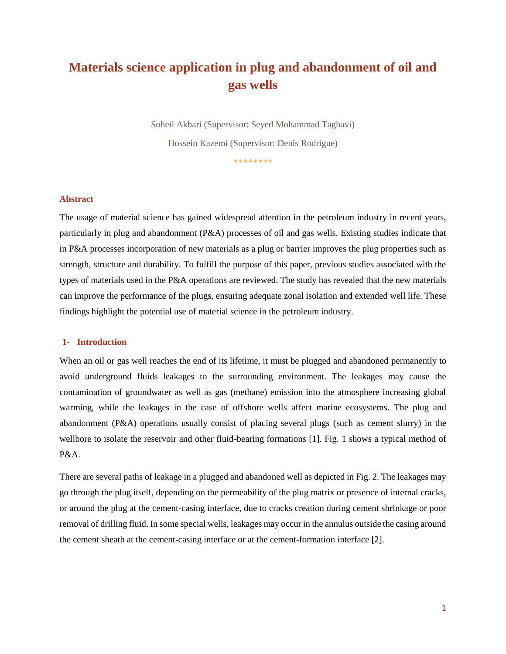# **Materials science application in plug and abandonment of oil and gas wells**

Soheil Akbari (Supervisor: Seyed Mohammad Taghavi) Hossein Kazemi (Supervisor: Denis Rodrigue)

\*\*\*\*\*\*\*\*

#### **Abstract**

The usage of material science has gained widespread attention in the petroleum industry in recent years, particularly in plug and abandonment (P&A) processes of oil and gas wells. Existing studies indicate that in P&A processes incorporation of new materials as a plug or barrier improves the plug properties such as strength, structure and durability. To fulfill the purpose of this paper, previous studies associated with the types of materials used in the P&A operations are reviewed. The study has revealed that the new materials can improve the performance of the plugs, ensuring adequate zonal isolation and extended well life. These findings highlight the potential use of material science in the petroleum industry.

# **1- Introduction**

When an oil or gas well reaches the end of its lifetime, it must be plugged and abandoned permanently to avoid underground fluids leakages to the surrounding environment. The leakages may cause the contamination of groundwater as well as gas (methane) emission into the atmosphere increasing global warming, while the leakages in the case of offshore wells affect marine ecosystems. The plug and abandonment (P&A) operations usually consist of placing several plugs (such as cement slurry) in the wellbore to isolate the reservoir and other fluid-bearing formations [1]. Fig. 1 shows a typical method of P&A.

There are several paths of leakage in a plugged and abandoned well as depicted in Fig. 2. The leakages may go through the plug itself, depending on the permeability of the plug matrix or presence of internal cracks, or around the plug at the cement-casing interface, due to cracks creation during cement shrinkage or poor removal of drilling fluid. In some special wells, leakages may occur in the annulus outside the casing around the cement sheath at the cement-casing interface or at the cement-formation interface [2].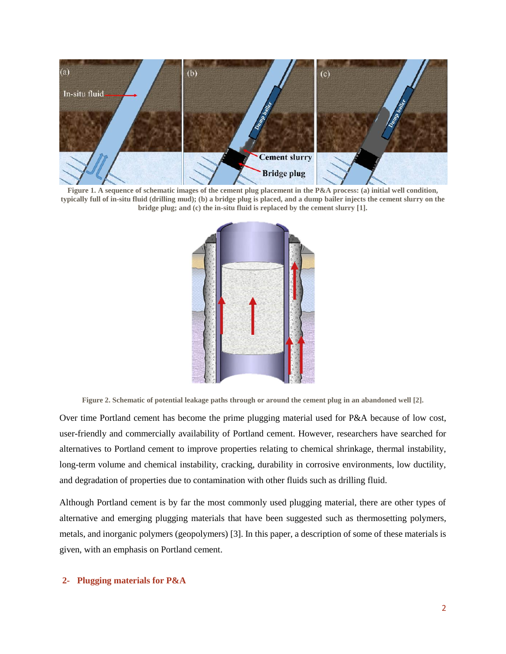

**Figure 1. A sequence of schematic images of the cement plug placement in the P&A process: (a) initial well condition, typically full of in-situ fluid (drilling mud); (b) a bridge plug is placed, and a dump bailer injects the cement slurry on the bridge plug; and (c) the in-situ fluid is replaced by the cement slurry [1].**



**Figure 2. Schematic of potential leakage paths through or around the cement plug in an abandoned well [2].** 

Over time Portland cement has become the prime plugging material used for P&A because of low cost, user-friendly and commercially availability of Portland cement. However, researchers have searched for alternatives to Portland cement to improve properties relating to chemical shrinkage, thermal instability, long-term volume and chemical instability, cracking, durability in corrosive environments, low ductility, and degradation of properties due to contamination with other fluids such as drilling fluid.

Although Portland cement is by far the most commonly used plugging material, there are other types of alternative and emerging plugging materials that have been suggested such as thermosetting polymers, metals, and inorganic polymers (geopolymers) [3]. In this paper, a description of some of these materials is given, with an emphasis on Portland cement.

# **2- Plugging materials for P&A**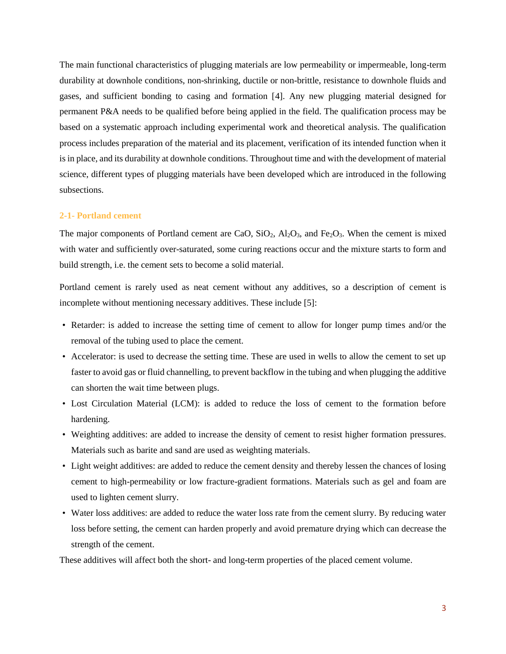The main functional characteristics of plugging materials are low permeability or impermeable, long-term durability at downhole conditions, non-shrinking, ductile or non-brittle, resistance to downhole fluids and gases, and sufficient bonding to casing and formation [4]. Any new plugging material designed for permanent P&A needs to be qualified before being applied in the field. The qualification process may be based on a systematic approach including experimental work and theoretical analysis. The qualification process includes preparation of the material and its placement, verification of its intended function when it is in place, and its durability at downhole conditions. Throughout time and with the development of material science, different types of plugging materials have been developed which are introduced in the following subsections.

#### **2-1- Portland cement**

The major components of Portland cement are CaO,  $SiO_2$ ,  $Al_2O_3$ , and  $Fe_2O_3$ . When the cement is mixed with water and sufficiently over-saturated, some curing reactions occur and the mixture starts to form and build strength, i.e. the cement sets to become a solid material.

Portland cement is rarely used as neat cement without any additives, so a description of cement is incomplete without mentioning necessary additives. These include [5]:

- Retarder: is added to increase the setting time of cement to allow for longer pump times and/or the removal of the tubing used to place the cement.
- Accelerator: is used to decrease the setting time. These are used in wells to allow the cement to set up faster to avoid gas or fluid channelling, to prevent backflow in the tubing and when plugging the additive can shorten the wait time between plugs.
- Lost Circulation Material (LCM): is added to reduce the loss of cement to the formation before hardening.
- Weighting additives: are added to increase the density of cement to resist higher formation pressures. Materials such as barite and sand are used as weighting materials.
- Light weight additives: are added to reduce the cement density and thereby lessen the chances of losing cement to high-permeability or low fracture-gradient formations. Materials such as gel and foam are used to lighten cement slurry.
- Water loss additives: are added to reduce the water loss rate from the cement slurry. By reducing water loss before setting, the cement can harden properly and avoid premature drying which can decrease the strength of the cement.

These additives will affect both the short- and long-term properties of the placed cement volume.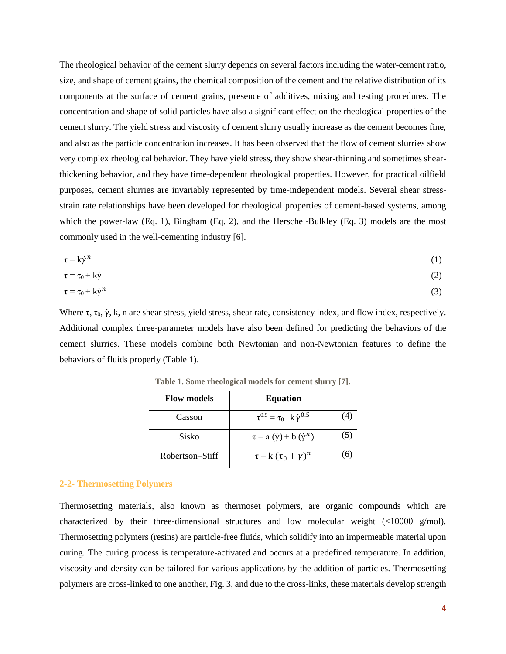The rheological behavior of the cement slurry depends on several factors including the water-cement ratio, size, and shape of cement grains, the chemical composition of the cement and the relative distribution of its components at the surface of cement grains, presence of additives, mixing and testing procedures. The concentration and shape of solid particles have also a significant effect on the rheological properties of the cement slurry. The yield stress and viscosity of cement slurry usually increase as the cement becomes fine, and also as the particle concentration increases. It has been observed that the flow of cement slurries show very complex rheological behavior. They have yield stress, they show shear-thinning and sometimes shearthickening behavior, and they have time-dependent rheological properties. However, for practical oilfield purposes, cement slurries are invariably represented by time-independent models. Several shear stressstrain rate relationships have been developed for rheological properties of cement-based systems, among which the power-law (Eq. 1), Bingham (Eq. 2), and the Herschel-Bulkley (Eq. 3) models are the most commonly used in the well-cementing industry [6].

$$
\tau = k\dot{\gamma}^n \tag{1}
$$

$$
\tau = \tau_0 + k\dot{\gamma} \tag{2}
$$

$$
\tau = \tau_0 + k\dot{\gamma}^n \tag{3}
$$

<span id="page-3-0"></span>Where  $\tau$ ,  $\tau_0$ ,  $\dot{\gamma}$ , k, n are shear stress, yield stress, shear rate, consistency index, and flow index, respectively. Additional complex three-parameter models have also been defined for predicting the behaviors of the cement slurries. These models combine both Newtonian and non-Newtonian features to define the behaviors of fluids properly [\(Table 1\)](#page-3-0).

| <b>Flow models</b> | <b>Equation</b>                               |     |
|--------------------|-----------------------------------------------|-----|
| Casson             | $\tau^{0.5} = \tau_{0+} k \dot{\gamma}^{0.5}$ |     |
| Sisko              | $\tau = a(\dot{\gamma}) + b(\dot{\gamma}^n)$  | (5) |
| Robertson–Stiff    | $\tau = k (\tau_0 + \dot{\gamma})^n$          |     |

**Table 1. Some rheological models for cement slurry [7].**

#### **2-2- Thermosetting Polymers**

Thermosetting materials, also known as thermoset polymers, are organic compounds which are characterized by their three-dimensional structures and low molecular weight (<10000 g/mol). Thermosetting polymers (resins) are particle-free fluids, which solidify into an impermeable material upon curing. The curing process is temperature-activated and occurs at a predefined temperature. In addition, viscosity and density can be tailored for various applications by the addition of particles. Thermosetting polymers are cross-linked to one another, Fig. 3, and due to the cross-links, these materials develop strength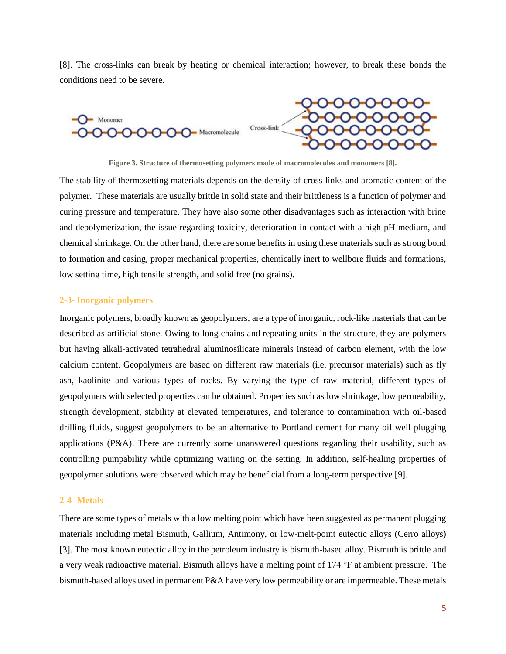[8]. The cross-links can break by heating or chemical interaction; however, to break these bonds the conditions need to be severe.



**Figure 3. Structure of thermosetting polymers made of macromolecules and monomers [8].**

The stability of thermosetting materials depends on the density of cross-links and aromatic content of the polymer. These materials are usually brittle in solid state and their brittleness is a function of polymer and curing pressure and temperature. They have also some other disadvantages such as interaction with brine and depolymerization, the issue regarding toxicity, deterioration in contact with a high-pH medium, and chemical shrinkage. On the other hand, there are some benefits in using these materials such as strong bond to formation and casing, proper mechanical properties, chemically inert to wellbore fluids and formations, low setting time, high tensile strength, and solid free (no grains).

### **2-3- Inorganic polymers**

Inorganic polymers, broadly known as geopolymers, are a type of inorganic, rock-like materials that can be described as artificial stone. Owing to long chains and repeating units in the structure, they are polymers but having alkali-activated tetrahedral aluminosilicate minerals instead of carbon element, with the low calcium content. Geopolymers are based on different raw materials (i.e. precursor materials) such as fly ash, kaolinite and various types of rocks. By varying the type of raw material, different types of geopolymers with selected properties can be obtained. Properties such as low shrinkage, low permeability, strength development, stability at elevated temperatures, and tolerance to contamination with oil-based drilling fluids, suggest geopolymers to be an alternative to Portland cement for many oil well plugging applications ( $P&A$ ). There are currently some unanswered questions regarding their usability, such as controlling pumpability while optimizing waiting on the setting. In addition, self-healing properties of geopolymer solutions were observed which may be beneficial from a long-term perspective [9].

# **2-4- Metals**

There are some types of metals with a low melting point which have been suggested as permanent plugging materials including metal Bismuth, Gallium, Antimony, or low-melt-point eutectic alloys (Cerro alloys) [3]. The most known eutectic alloy in the petroleum industry is bismuth-based alloy. Bismuth is brittle and a very weak radioactive material. Bismuth alloys have a melting point of 174 °F at ambient pressure. The bismuth-based alloys used in permanent P&A have very low permeability or are impermeable. These metals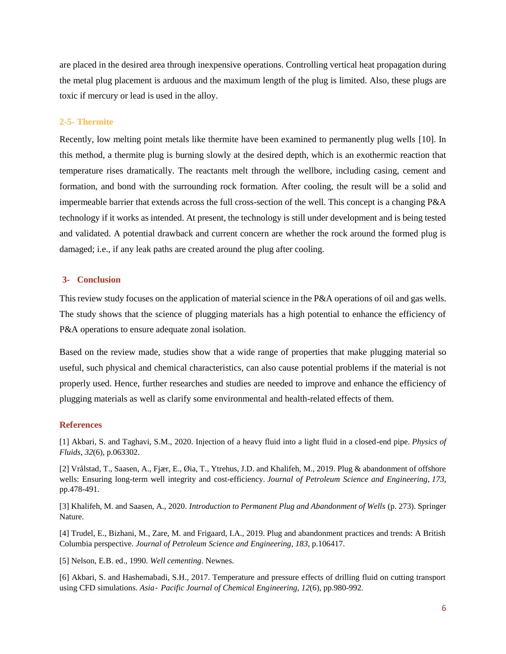are placed in the desired area through inexpensive operations. Controlling vertical heat propagation during the metal plug placement is arduous and the maximum length of the plug is limited. Also, these plugs are toxic if mercury or lead is used in the alloy.

#### **2-5- Thermite**

Recently, low melting point metals like thermite have been examined to permanently plug wells [10]. In this method, a thermite plug is burning slowly at the desired depth, which is an exothermic reaction that temperature rises dramatically. The reactants melt through the wellbore, including casing, cement and formation, and bond with the surrounding rock formation. After cooling, the result will be a solid and impermeable barrier that extends across the full cross-section of the well. This concept is a changing P&A technology if it works as intended. At present, the technology is still under development and is being tested and validated. A potential drawback and current concern are whether the rock around the formed plug is damaged; i.e., if any leak paths are created around the plug after cooling.

### **3- Conclusion**

This review study focuses on the application of material science in the P&A operations of oil and gas wells. The study shows that the science of plugging materials has a high potential to enhance the efficiency of P&A operations to ensure adequate zonal isolation.

Based on the review made, studies show that a wide range of properties that make plugging material so useful, such physical and chemical characteristics, can also cause potential problems if the material is not properly used. Hence, further researches and studies are needed to improve and enhance the efficiency of plugging materials as well as clarify some environmental and health-related effects of them.

#### **References**

[1] Akbari, S. and Taghavi, S.M., 2020. Injection of a heavy fluid into a light fluid in a closed-end pipe. *Physics of Fluids*, *32*(6), p.063302.

[2] Vrålstad, T., Saasen, A., Fjær, E., Øia, T., Ytrehus, J.D. and Khalifeh, M., 2019. Plug & abandonment of offshore wells: Ensuring long-term well integrity and cost-efficiency. *Journal of Petroleum Science and Engineering*, *173*, pp.478-491.

[3] Khalifeh, M. and Saasen, A., 2020. *Introduction to Permanent Plug and Abandonment of Wells* (p. 273). Springer Nature.

[4] Trudel, E., Bizhani, M., Zare, M. and Frigaard, I.A., 2019. Plug and abandonment practices and trends: A British Columbia perspective. *Journal of Petroleum Science and Engineering*, *183*, p.106417.

[5] Nelson, E.B. ed., 1990. *Well cementing*. Newnes.

[6] Akbari, S. and Hashemabadi, S.H., 2017. Temperature and pressure effects of drilling fluid on cutting transport using CFD simulations. *Asia*‐ *Pacific Journal of Chemical Engineering*, *12*(6), pp.980-992.